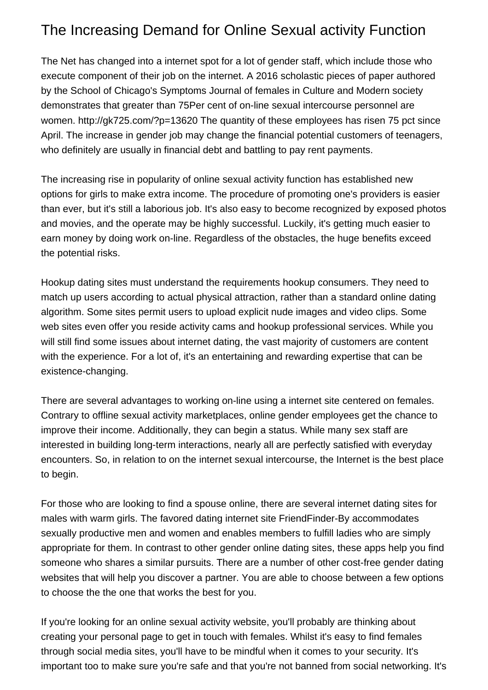## The Increasing Demand for Online Sexual activity Function

The Net has changed into a internet spot for a lot of gender staff, which include those who execute component of their job on the internet. A 2016 scholastic pieces of paper authored by the School of Chicago's Symptoms Journal of females in Culture and Modern society demonstrates that greater than 75Per cent of on-line sexual intercourse personnel are women.<http://gk725.com/?p=13620> The quantity of these employees has risen 75 pct since April. The increase in gender job may change the financial potential customers of teenagers, who definitely are usually in financial debt and battling to pay rent payments.

The increasing rise in popularity of online sexual activity function has established new options for girls to make extra income. The procedure of promoting one's providers is easier than ever, but it's still a laborious job. It's also easy to become recognized by exposed photos and movies, and the operate may be highly successful. Luckily, it's getting much easier to earn money by doing work on-line. Regardless of the obstacles, the huge benefits exceed the potential risks.

Hookup dating sites must understand the requirements hookup consumers. They need to match up users according to actual physical attraction, rather than a standard online dating algorithm. Some sites permit users to upload explicit nude images and video clips. Some web sites even offer you reside activity cams and hookup professional services. While you will still find some issues about internet dating, the vast majority of customers are content with the experience. For a lot of, it's an entertaining and rewarding expertise that can be existence-changing.

There are several advantages to working on-line using a internet site centered on females. Contrary to offline sexual activity marketplaces, online gender employees get the chance to improve their income. Additionally, they can begin a status. While many sex staff are interested in building long-term interactions, nearly all are perfectly satisfied with everyday encounters. So, in relation to on the internet sexual intercourse, the Internet is the best place to begin.

For those who are looking to find a spouse online, there are several internet dating sites for males with warm girls. The favored dating internet site FriendFinder-By accommodates sexually productive men and women and enables members to fulfill ladies who are simply appropriate for them. In contrast to other gender online dating sites, these apps help you find someone who shares a similar pursuits. There are a number of other cost-free gender dating websites that will help you discover a partner. You are able to choose between a few options to choose the the one that works the best for you.

If you're looking for an online sexual activity website, you'll probably are thinking about creating your personal page to get in touch with females. Whilst it's easy to find females through social media sites, you'll have to be mindful when it comes to your security. It's important too to make sure you're safe and that you're not banned from social networking. It's